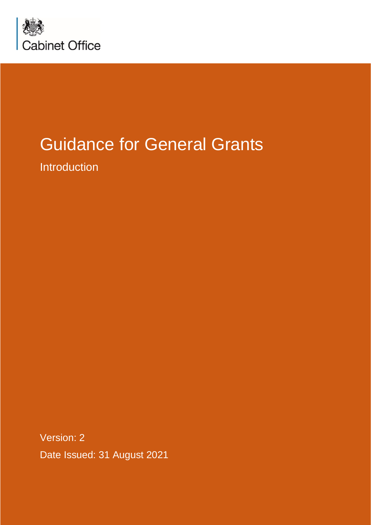

# Guidance for General Grants

Introduction

Version: 2 Date Issued: 31 August 2021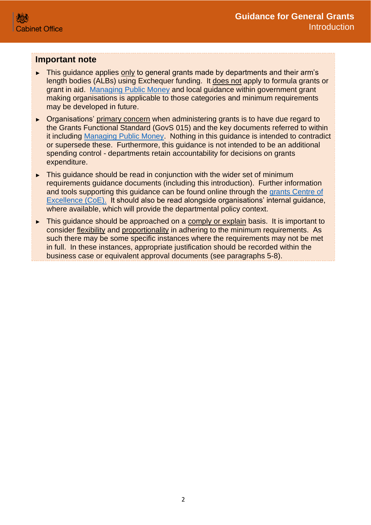#### **Important note**

- ► This guidance applies only to general grants made by departments and their arm's length bodies (ALBs) using Exchequer funding. It does not apply to formula grants or grant in aid. [Managing Public Money](https://www.gov.uk/government/publications/managing-public-money) and local guidance within government grant making organisations is applicable to those categories and minimum requirements may be developed in future.
- ► Organisations' primary concern when administering grants is to have due regard to the Grants Functional Standard (GovS 015) and the key documents referred to within it including [Managing Public Money.](https://www.gov.uk/government/publications/managing-public-money) Nothing in this guidance is intended to contradict or supersede these. Furthermore, this guidance is not intended to be an additional spending control - departments retain accountability for decisions on grants expenditure.
- ► This guidance should be read in conjunction with the wider set of minimum requirements guidance documents (including this introduction). Further information and tools supporting this guidance can be found online through the [grants Centre of](https://gcoe.civilservice.gov.uk/sign-in/)  [Excellence \(CoE\).](https://gcoe.civilservice.gov.uk/sign-in/) It should also be read alongside organisations' internal guidance, where available, which will provide the departmental policy context.
- ► This guidance should be approached on a comply or explain basis. It is important to consider flexibility and proportionality in adhering to the minimum requirements. As such there may be some specific instances where the requirements may not be met in full. In these instances, appropriate justification should be recorded within the business case or equivalent approval documents (see paragraphs 5-8).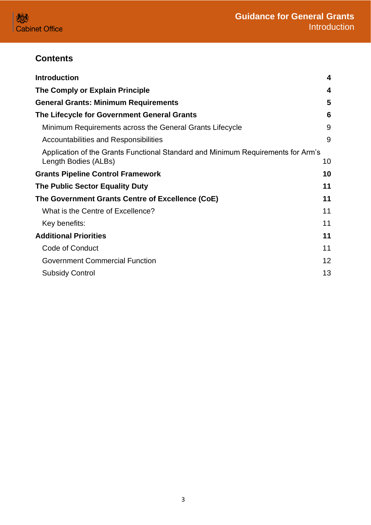## **Contents**

| <b>Introduction</b>                                                                                      | 4  |
|----------------------------------------------------------------------------------------------------------|----|
| The Comply or Explain Principle                                                                          | 4  |
| <b>General Grants: Minimum Requirements</b>                                                              | 5  |
| The Lifecycle for Government General Grants                                                              | 6  |
| Minimum Requirements across the General Grants Lifecycle                                                 | 9  |
| Accountabilities and Responsibilities                                                                    | 9  |
| Application of the Grants Functional Standard and Minimum Requirements for Arm's<br>Length Bodies (ALBs) | 10 |
| <b>Grants Pipeline Control Framework</b>                                                                 | 10 |
| The Public Sector Equality Duty                                                                          | 11 |
| The Government Grants Centre of Excellence (CoE)                                                         | 11 |
| What is the Centre of Excellence?                                                                        | 11 |
| Key benefits:                                                                                            | 11 |
| <b>Additional Priorities</b>                                                                             | 11 |
| <b>Code of Conduct</b>                                                                                   | 11 |
| <b>Government Commercial Function</b>                                                                    | 12 |
| <b>Subsidy Control</b>                                                                                   | 13 |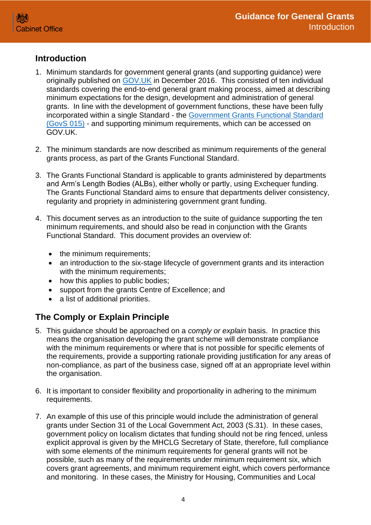## <span id="page-3-0"></span>**Introduction**

- 1. Minimum standards for government general grants (and supporting guidance) were originally published on [GOV.UK](https://www.gov.uk/government/publications/grants-standards) in December 2016. This consisted of ten individual standards covering the end-to-end general grant making process, aimed at describing minimum expectations for the design, development and administration of general grants. In line with the development of government functions, these have been fully incorporated within a single Standard - the [Government Grants Functional Standard](https://www.gov.uk/government/publications/grants-standards)  [\(GovS 015\)](https://www.gov.uk/government/publications/grants-standards) - and supporting minimum requirements, which can be accessed on GOV.UK.
- 2. The minimum standards are now described as minimum requirements of the general grants process, as part of the Grants Functional Standard.
- 3. The Grants Functional Standard is applicable to grants administered by departments and Arm's Length Bodies (ALBs), either wholly or partly, using Exchequer funding. The Grants Functional Standard aims to ensure that departments deliver consistency, regularity and propriety in administering government grant funding.
- 4. This document serves as an introduction to the suite of guidance supporting the ten minimum requirements, and should also be read in conjunction with the Grants Functional Standard. This document provides an overview of:
	- the minimum requirements;
	- an introduction to the six-stage lifecycle of government grants and its interaction with the minimum requirements;
	- how this applies to public bodies;
	- support from the grants Centre of Excellence; and
	- a list of additional priorities.

# <span id="page-3-1"></span>**The Comply or Explain Principle**

- 5. This guidance should be approached on a *comply or explain* basis. In practice this means the organisation developing the grant scheme will demonstrate compliance with the minimum requirements or where that is not possible for specific elements of the requirements, provide a supporting rationale providing justification for any areas of non-compliance, as part of the business case, signed off at an appropriate level within the organisation.
- 6. It is important to consider flexibility and proportionality in adhering to the minimum requirements.
- 7. An example of this use of this principle would include the administration of general grants under Section 31 of the Local Government Act, 2003 (S.31). In these cases, government policy on localism dictates that funding should not be ring fenced, unless explicit approval is given by the MHCLG Secretary of State, therefore, full compliance with some elements of the minimum requirements for general grants will not be possible, such as many of the requirements under minimum requirement six, which covers grant agreements, and minimum requirement eight, which covers performance and monitoring. In these cases, the Ministry for Housing, Communities and Local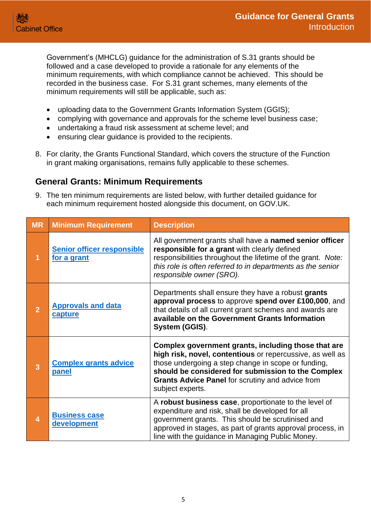Government's (MHCLG) guidance for the administration of S.31 grants should be followed and a case developed to provide a rationale for any elements of the minimum requirements, with which compliance cannot be achieved. This should be recorded in the business case. For S.31 grant schemes, many elements of the minimum requirements will still be applicable, such as:

- uploading data to the Government Grants Information System (GGIS);
- complying with governance and approvals for the scheme level business case;
- undertaking a fraud risk assessment at scheme level; and
- ensuring clear guidance is provided to the recipients.
- 8. For clarity, the Grants Functional Standard, which covers the structure of the Function in grant making organisations, remains fully applicable to these schemes.

#### <span id="page-4-0"></span>**General Grants: Minimum Requirements**

9. The ten minimum requirements are listed below, with further detailed guidance for each minimum requirement hosted alongside this document, on GOV.UK.

| <b>MR</b>      | <b>Minimum Requirement</b>                       | <b>Description</b>                                                                                                                                                                                                                                                                                           |  |  |
|----------------|--------------------------------------------------|--------------------------------------------------------------------------------------------------------------------------------------------------------------------------------------------------------------------------------------------------------------------------------------------------------------|--|--|
| 1              | <b>Senior officer responsible</b><br>for a grant | All government grants shall have a named senior officer<br>responsible for a grant with clearly defined<br>responsibilities throughout the lifetime of the grant. Note:<br>this role is often referred to in departments as the senior<br>responsible owner (SRO).                                           |  |  |
| $\overline{2}$ | <b>Approvals and data</b><br>capture             | Departments shall ensure they have a robust grants<br>approval process to approve spend over £100,000, and<br>that details of all current grant schemes and awards are<br>available on the Government Grants Information<br>System (GGIS).                                                                   |  |  |
| 3              | <b>Complex grants advice</b><br><b>panel</b>     | Complex government grants, including those that are<br>high risk, novel, contentious or repercussive, as well as<br>those undergoing a step change in scope or funding,<br>should be considered for submission to the Complex<br><b>Grants Advice Panel for scrutiny and advice from</b><br>subject experts. |  |  |
| $\overline{4}$ | <b>Business case</b><br>development              | A robust business case, proportionate to the level of<br>expenditure and risk, shall be developed for all<br>government grants. This should be scrutinised and<br>approved in stages, as part of grants approval process, in<br>line with the guidance in Managing Public Money.                             |  |  |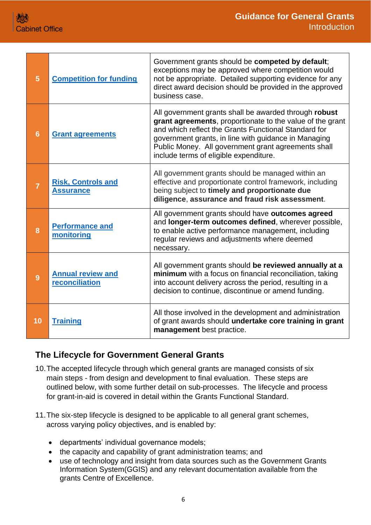| 5              | <b>Competition for funding</b>                | Government grants should be competed by default;<br>exceptions may be approved where competition would<br>not be appropriate. Detailed supporting evidence for any<br>direct award decision should be provided in the approved<br>business case.                                                                                    |
|----------------|-----------------------------------------------|-------------------------------------------------------------------------------------------------------------------------------------------------------------------------------------------------------------------------------------------------------------------------------------------------------------------------------------|
| 6              | <b>Grant agreements</b>                       | All government grants shall be awarded through robust<br>grant agreements, proportionate to the value of the grant<br>and which reflect the Grants Functional Standard for<br>government grants, in line with guidance in Managing<br>Public Money. All government grant agreements shall<br>include terms of eligible expenditure. |
| $\overline{7}$ | <b>Risk, Controls and</b><br><b>Assurance</b> | All government grants should be managed within an<br>effective and proportionate control framework, including<br>being subject to timely and proportionate due<br>diligence, assurance and fraud risk assessment.                                                                                                                   |
| 8              | <b>Performance and</b><br>monitoring          | All government grants should have outcomes agreed<br>and longer-term outcomes defined, wherever possible,<br>to enable active performance management, including<br>regular reviews and adjustments where deemed<br>necessary.                                                                                                       |
| 9              | <b>Annual review and</b><br>reconciliation    | All government grants should be reviewed annually at a<br>minimum with a focus on financial reconciliation, taking<br>into account delivery across the period, resulting in a<br>decision to continue, discontinue or amend funding.                                                                                                |
| 10             | <b>Training</b>                               | All those involved in the development and administration<br>of grant awards should undertake core training in grant<br>management best practice.                                                                                                                                                                                    |

## <span id="page-5-0"></span>**The Lifecycle for Government General Grants**

- 10.The accepted lifecycle through which general grants are managed consists of six main steps - from design and development to final evaluation. These steps are outlined below, with some further detail on sub-processes. The lifecycle and process for grant-in-aid is covered in detail within the Grants Functional Standard.
- 11.The six-step lifecycle is designed to be applicable to all general grant schemes, across varying policy objectives, and is enabled by:
	- departments' individual governance models;
	- the capacity and capability of grant administration teams; and
	- use of technology and insight from data sources such as the Government Grants Information System(GGIS) and any relevant documentation available from the grants Centre of Excellence.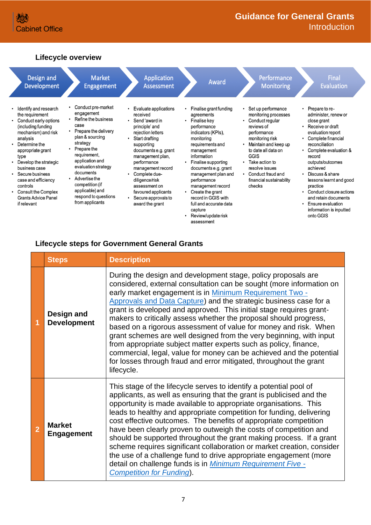## **Lifecycle overview**

| Design and                                                                                                                                                                                                                                                                                                                                   | <b>Market</b>                                                                                                                                                                                                                                                                                                                 | <b>Application</b>                                                                                                                                                                                                                                                                                                              | <b>Award</b>                                                                                                                                                                                                                                                                                                                                                                                             | Performance                                                                                                                                                                                                                                                                | <b>Final</b>                                                                                                                                                                                                                                                                                                                                                                                                            |
|----------------------------------------------------------------------------------------------------------------------------------------------------------------------------------------------------------------------------------------------------------------------------------------------------------------------------------------------|-------------------------------------------------------------------------------------------------------------------------------------------------------------------------------------------------------------------------------------------------------------------------------------------------------------------------------|---------------------------------------------------------------------------------------------------------------------------------------------------------------------------------------------------------------------------------------------------------------------------------------------------------------------------------|----------------------------------------------------------------------------------------------------------------------------------------------------------------------------------------------------------------------------------------------------------------------------------------------------------------------------------------------------------------------------------------------------------|----------------------------------------------------------------------------------------------------------------------------------------------------------------------------------------------------------------------------------------------------------------------------|-------------------------------------------------------------------------------------------------------------------------------------------------------------------------------------------------------------------------------------------------------------------------------------------------------------------------------------------------------------------------------------------------------------------------|
| Development                                                                                                                                                                                                                                                                                                                                  | <b>Engagement</b>                                                                                                                                                                                                                                                                                                             | <b>Assessment</b>                                                                                                                                                                                                                                                                                                               |                                                                                                                                                                                                                                                                                                                                                                                                          | <b>Monitoring</b>                                                                                                                                                                                                                                                          | <b>Evaluation</b>                                                                                                                                                                                                                                                                                                                                                                                                       |
| Identify and research<br>the requirement<br>Conduct early options<br>(including funding<br>mechanism) and risk<br>analysis<br>Determine the<br>appropriate grant<br>type<br>Develop the strategic<br>business case<br>Secure business<br>case and efficiency<br>controls<br>Consult the Complex<br><b>Grants Advice Panel</b><br>if relevant | Conduct pre-market<br>engagement<br>Refine the business<br>$\bullet$<br>case<br>• Prepare the delivery<br>plan & sourcing<br>strategy<br>Prepare the<br>requirement.<br>application and<br>evaluation strategy<br>documents<br>Advertise the<br>competition (if<br>applicable) and<br>respond to questions<br>from applicants | Evaluate applications<br>received<br>Send 'award in<br>principle' and<br>rejection letters<br>Start drafting<br>supporting<br>documents e.g. grant<br>management plan,<br>performance<br>management record<br>Complete due-<br>diligence/risk<br>assessment on<br>favoured applicants<br>Secure approvals to<br>award the grant | Finalise grant funding<br>agreements<br>Finalise key<br>$\bullet$<br>performance<br>indicators (KPIs),<br>monitoring<br>requirements and<br>management<br>information<br>Finalise supporting<br>documents e.g. grant<br>management plan and<br>performance<br>management record<br>Create the grant<br>٠<br>record in GGIS with<br>full and accurate data<br>capture<br>Review/update risk<br>assessment | Set up performance<br>monitoring processes<br>Conduct regular<br>reviews of<br>performance<br>monitoring risk<br>Maintain and keep up<br>to date all data on<br><b>GGIS</b><br>Take action to<br>resolve issues<br>Conduct fraud and<br>financial sustainability<br>checks | Prepare to re-<br>٠<br>administer, renew or<br>close grant<br>Receive or draft<br>evaluation report<br>Complete financial<br>$\bullet$<br>reconciliation<br>Complete evaluation &<br>٠<br>record<br>outputs/outcomes<br>achieved<br>Discuss & share<br>$\bullet$<br>lessons learnt and good<br>practice<br>Conduct closure actions<br>and retain documents<br>Ensure evaluation<br>information is inputted<br>onto GGIS |

## **Lifecycle steps for Government General Grants**

|                | <b>Steps</b>                       | <b>Description</b>                                                                                                                                                                                                                                                                                                                                                                                                                                                                                                                                                                                                                                                                                                                                                                           |
|----------------|------------------------------------|----------------------------------------------------------------------------------------------------------------------------------------------------------------------------------------------------------------------------------------------------------------------------------------------------------------------------------------------------------------------------------------------------------------------------------------------------------------------------------------------------------------------------------------------------------------------------------------------------------------------------------------------------------------------------------------------------------------------------------------------------------------------------------------------|
| 1              | Design and<br><b>Development</b>   | During the design and development stage, policy proposals are<br>considered, external consultation can be sought (more information on<br>early market engagement is in Minimum Requirement Two -<br>Approvals and Data Capture) and the strategic business case for a<br>grant is developed and approved. This initial stage requires grant-<br>makers to critically assess whether the proposal should progress,<br>based on a rigorous assessment of value for money and risk. When<br>grant schemes are well designed from the very beginning, with input<br>from appropriate subject matter experts such as policy, finance,<br>commercial, legal, value for money can be achieved and the potential<br>for losses through fraud and error mitigated, throughout the grant<br>lifecycle. |
| $\overline{2}$ | <b>Market</b><br><b>Engagement</b> | This stage of the lifecycle serves to identify a potential pool of<br>applicants, as well as ensuring that the grant is publicised and the<br>opportunity is made available to appropriate organisations. This<br>leads to healthy and appropriate competition for funding, delivering<br>cost effective outcomes. The benefits of appropriate competition<br>have been clearly proven to outweigh the costs of competition and<br>should be supported throughout the grant making process. If a grant<br>scheme requires significant collaboration or market creation, consider<br>the use of a challenge fund to drive appropriate engagement (more<br>detail on challenge funds is in Minimum Requirement Five -<br><b>Competition for Funding).</b>                                      |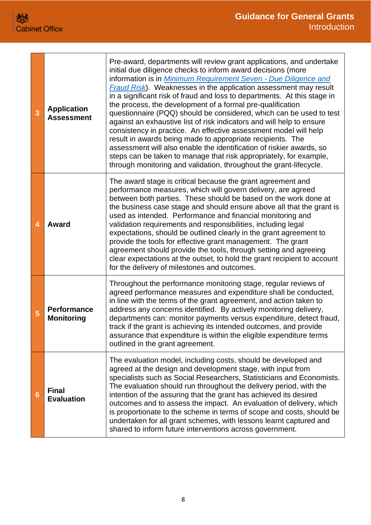| 3 | <b>Application</b><br><b>Assessment</b> | Pre-award, departments will review grant applications, and undertake<br>initial due diligence checks to inform award decisions (more<br>information is in Minimum Requirement Seven - Due Diligence and<br>Fraud Risk). Weaknesses in the application assessment may result<br>in a significant risk of fraud and loss to departments. At this stage in<br>the process, the development of a formal pre-qualification<br>questionnaire (PQQ) should be considered, which can be used to test<br>against an exhaustive list of risk indicators and will help to ensure<br>consistency in practice. An effective assessment model will help<br>result in awards being made to appropriate recipients. The<br>assessment will also enable the identification of riskier awards, so<br>steps can be taken to manage that risk appropriately, for example,<br>through monitoring and validation, throughout the grant-lifecycle. |
|---|-----------------------------------------|-----------------------------------------------------------------------------------------------------------------------------------------------------------------------------------------------------------------------------------------------------------------------------------------------------------------------------------------------------------------------------------------------------------------------------------------------------------------------------------------------------------------------------------------------------------------------------------------------------------------------------------------------------------------------------------------------------------------------------------------------------------------------------------------------------------------------------------------------------------------------------------------------------------------------------|
| 4 | <b>Award</b>                            | The award stage is critical because the grant agreement and<br>performance measures, which will govern delivery, are agreed<br>between both parties. These should be based on the work done at<br>the business case stage and should ensure above all that the grant is<br>used as intended. Performance and financial monitoring and<br>validation requirements and responsibilities, including legal<br>expectations, should be outlined clearly in the grant agreement to<br>provide the tools for effective grant management. The grant<br>agreement should provide the tools, through setting and agreeing<br>clear expectations at the outset, to hold the grant recipient to account<br>for the delivery of milestones and outcomes.                                                                                                                                                                                 |
| 5 | <b>Performance</b><br><b>Monitoring</b> | Throughout the performance monitoring stage, regular reviews of<br>agreed performance measures and expenditure shall be conducted,<br>in line with the terms of the grant agreement, and action taken to<br>address any concerns identified. By actively monitoring delivery,<br>departments can: monitor payments versus expenditure, detect fraud,<br>track if the grant is achieving its intended outcomes, and provide<br>assurance that expenditure is within the eligible expenditure terms<br>outlined in the grant agreement.                                                                                                                                                                                                                                                                                                                                                                                       |
| 6 | <b>Final</b><br><b>Evaluation</b>       | The evaluation model, including costs, should be developed and<br>agreed at the design and development stage, with input from<br>specialists such as Social Researchers, Statisticians and Economists.<br>The evaluation should run throughout the delivery period, with the<br>intention of the assuring that the grant has achieved its desired<br>outcomes and to assess the impact. An evaluation of delivery, which<br>is proportionate to the scheme in terms of scope and costs, should be<br>undertaken for all grant schemes, with lessons learnt captured and<br>shared to inform future interventions across government.                                                                                                                                                                                                                                                                                         |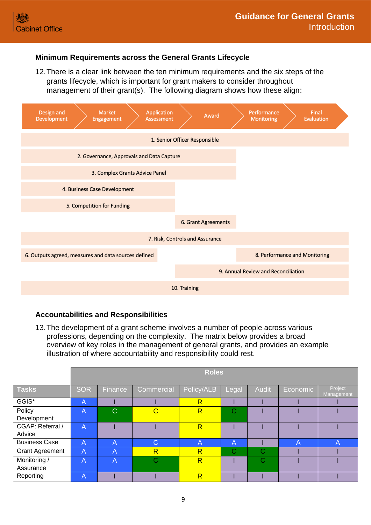#### <span id="page-8-0"></span>**Minimum Requirements across the General Grants Lifecycle**

12.There is a clear link between the ten minimum requirements and the six steps of the grants lifecycle, which is important for grant makers to consider throughout management of their grant(s). The following diagram shows how these align:



#### <span id="page-8-1"></span>**Accountabilities and Responsibilities**

13.The development of a grant scheme involves a number of people across various professions, depending on the complexity. The matrix below provides a broad overview of key roles in the management of general grants, and provides an example illustration of where accountability and responsibility could rest.

|                            | <b>Roles</b>   |             |                         |                         |                         |                         |                |                       |
|----------------------------|----------------|-------------|-------------------------|-------------------------|-------------------------|-------------------------|----------------|-----------------------|
|                            |                |             |                         |                         |                         |                         |                |                       |
| <b>Tasks</b>               | <b>SOR</b>     | Finance     | Commercial              | Policy/ALB              | Legal                   | <b>Audit</b>            | Economic       | Project<br>Management |
| GGIS*                      | $\overline{A}$ |             |                         | $\overline{\mathsf{R}}$ |                         |                         |                |                       |
| Policy<br>Development      | $\overline{A}$ | $\mathbf C$ | С                       | $\overline{\mathsf{R}}$ | Ć                       |                         |                |                       |
| CGAP: Referral /<br>Advice | $\overline{A}$ |             |                         | $\overline{\mathsf{R}}$ |                         |                         |                |                       |
| <b>Business Case</b>       | $\overline{A}$ | A           | С                       | Α                       | $\overline{A}$          |                         | $\overline{A}$ | А                     |
| <b>Grant Agreement</b>     | $\overline{A}$ | A           | $\overline{\mathsf{R}}$ | $\overline{\mathsf{R}}$ | $\overline{\mathbf{C}}$ | C                       |                |                       |
| Monitoring /<br>Assurance  | $\overline{A}$ | A           | C                       | $\overline{\mathsf{R}}$ |                         | $\overline{\mathbf{C}}$ |                |                       |
| Reporting                  | $\overline{A}$ |             |                         | $\overline{\mathsf{R}}$ |                         |                         |                |                       |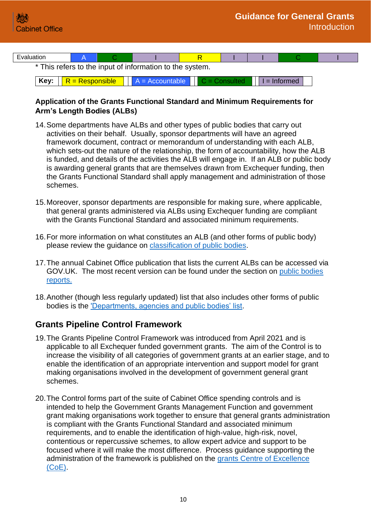

**Key:**  $R = Responsible$   $A = Accountable$   $C = Consider 1 - 1$   $R = Informed$ 

#### <span id="page-9-0"></span>**Application of the Grants Functional Standard and Minimum Requirements for Arm's Length Bodies (ALBs)**

- 14.Some departments have ALBs and other types of public bodies that carry out activities on their behalf. Usually, sponsor departments will have an agreed framework document, contract or memorandum of understanding with each ALB, which sets-out the nature of the relationship, the form of accountability, how the ALB is funded, and details of the activities the ALB will engage in. If an ALB or public body is awarding general grants that are themselves drawn from Exchequer funding, then the Grants Functional Standard shall apply management and administration of those schemes.
- 15.Moreover, sponsor departments are responsible for making sure, where applicable, that general grants administered via ALBs using Exchequer funding are compliant with the Grants Functional Standard and associated minimum requirements.
- 16.For more information on what constitutes an ALB (and other forms of public body) please review the guidance on [classification of public bodies.](https://www.gov.uk/government/publications/classification-of-public-bodies-information-and-guidance)
- 17.The annual Cabinet Office publication that lists the current ALBs can be accessed via GOV.UK. The most recent version can be found under the section on [public bodies](https://www.gov.uk/government/collections/public-bodies)  [reports.](https://www.gov.uk/government/collections/public-bodies)
- 18.Another (though less regularly updated) list that also includes other forms of public bodies is the ['Departments, agencies and public bodies' list.](https://www.gov.uk/government/organisations)

## <span id="page-9-1"></span>**Grants Pipeline Control Framework**

- 19.The Grants Pipeline Control Framework was introduced from April 2021 and is applicable to all Exchequer funded government grants. The aim of the Control is to increase the visibility of all categories of government grants at an earlier stage, and to enable the identification of an appropriate intervention and support model for grant making organisations involved in the development of government general grant schemes.
- 20.The Control forms part of the suite of Cabinet Office spending controls and is intended to help the Government Grants Management Function and government grant making organisations work together to ensure that general grants administration is compliant with the Grants Functional Standard and associated minimum requirements, and to enable the identification of high-value, high-risk, novel, contentious or repercussive schemes, to allow expert advice and support to be focused where it will make the most difference. Process guidance supporting the administration of the framework is published on the [grants Centre of Excellence](https://gcoe.civilservice.gov.uk/)  [\(CoE\).](https://gcoe.civilservice.gov.uk/)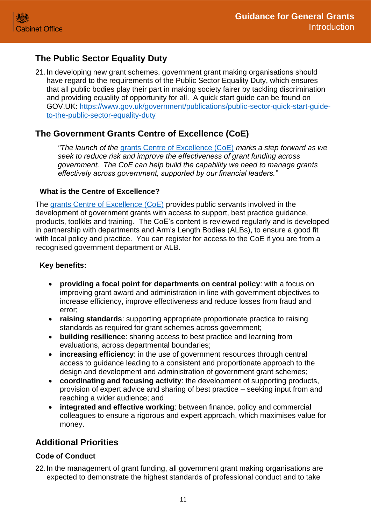# <span id="page-10-0"></span>**The Public Sector Equality Duty**

21.In developing new grant schemes, government grant making organisations should have regard to the requirements of the Public Sector Equality Duty, which ensures that all public bodies play their part in making society fairer by tackling discrimination and providing equality of opportunity for all. A quick start guide can be found on GOV.UK: [https://www.gov.uk/government/publications/public-sector-quick-start-guide](https://www.gov.uk/government/publications/public-sector-quick-start-guide-to-the-public-sector-equality-duty)[to-the-public-sector-equality-duty](https://www.gov.uk/government/publications/public-sector-quick-start-guide-to-the-public-sector-equality-duty)

## <span id="page-10-1"></span>**The Government Grants Centre of Excellence (CoE)**

*"The launch of the* [grants Centre of Excellence \(CoE\)](https://gcoe.civilservice.gov.uk/) *marks a step forward as we seek to reduce risk and improve the effectiveness of grant funding across government. The CoE can help build the capability we need to manage grants effectively across government, supported by our financial leaders."*

#### <span id="page-10-2"></span>**What is the Centre of Excellence?**

The [grants Centre of Excellence \(CoE\)](https://gcoe.civilservice.gov.uk/) provides public servants involved in the development of government grants with access to support, best practice guidance, products, toolkits and training. The CoE's content is reviewed regularly and is developed in partnership with departments and Arm's Length Bodies (ALBs), to ensure a good fit with local policy and practice. You can register for access to the CoE if you are from a recognised government department or ALB.

#### <span id="page-10-3"></span>**Key benefits:**

- **providing a focal point for departments on central policy**: with a focus on improving grant award and administration in line with government objectives to increase efficiency, improve effectiveness and reduce losses from fraud and error;
- **raising standards**: supporting appropriate proportionate practice to raising standards as required for grant schemes across government;
- **building resilience**: sharing access to best practice and learning from evaluations, across departmental boundaries;
- **increasing efficiency**: in the use of government resources through central access to guidance leading to a consistent and proportionate approach to the design and development and administration of government grant schemes;
- **coordinating and focusing activity**: the development of supporting products, provision of expert advice and sharing of best practice – seeking input from and reaching a wider audience; and
- **integrated and effective working**: between finance, policy and commercial colleagues to ensure a rigorous and expert approach, which maximises value for money.

# <span id="page-10-4"></span>**Additional Priorities**

#### <span id="page-10-5"></span>**Code of Conduct**

22.In the management of grant funding, all government grant making organisations are expected to demonstrate the highest standards of professional conduct and to take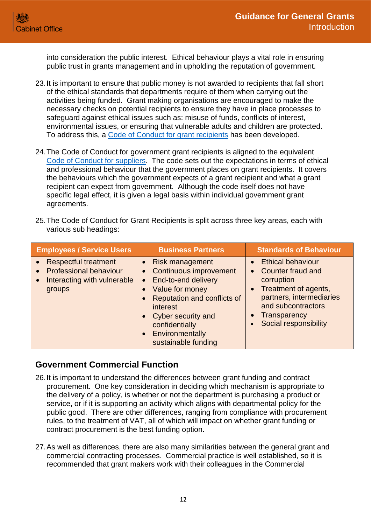into consideration the public interest. Ethical behaviour plays a vital role in ensuring public trust in grants management and in upholding the reputation of government.

- 23.It is important to ensure that public money is not awarded to recipients that fall short of the ethical standards that departments require of them when carrying out the activities being funded. Grant making organisations are encouraged to make the necessary checks on potential recipients to ensure they have in place processes to safeguard against ethical issues such as: misuse of funds, conflicts of interest, environmental issues, or ensuring that vulnerable adults and children are protected. To address this, a [Code of Conduct for grant recipients](https://www.gov.uk/government/publications/supplier-code-of-conduct) has been developed.
- 24.The Code of Conduct for government grant recipients is aligned to the equivalent [Code of Conduct](https://www.gov.uk/government/publications/supplier-code-of-conduct) for suppliers. The code sets out the expectations in terms of ethical and professional behaviour that the government places on grant recipients. It covers the behaviours which the government expects of a grant recipient and what a grant recipient can expect from government. Although the code itself does not have specific legal effect, it is given a legal basis within individual government grant agreements.
- 25.The Code of Conduct for Grant Recipients is split across three key areas, each with various sub headings:

| <b>Employees / Service Users</b>                                                                                   | <b>Business Partners</b>                                                                                                                                                                                                                                                                                | <b>Standards of Behaviour</b>                                                                                                                                                                                     |
|--------------------------------------------------------------------------------------------------------------------|---------------------------------------------------------------------------------------------------------------------------------------------------------------------------------------------------------------------------------------------------------------------------------------------------------|-------------------------------------------------------------------------------------------------------------------------------------------------------------------------------------------------------------------|
| <b>Respectful treatment</b><br>$\bullet$<br><b>Professional behaviour</b><br>Interacting with vulnerable<br>groups | • Risk management<br>Continuous improvement<br>$\bullet$<br>End-to-end delivery<br>$\bullet$<br>Value for money<br>$\bullet$<br>Reputation and conflicts of<br>$\bullet$<br><i>interest</i><br>Cyber security and<br>$\bullet$<br>confidentially<br>Environmentally<br>$\bullet$<br>sustainable funding | <b>Ethical behaviour</b><br>$\bullet$<br><b>Counter fraud and</b><br>$\bullet$<br>corruption<br>• Treatment of agents,<br>partners, intermediaries<br>and subcontractors<br>Transparency<br>Social responsibility |

#### <span id="page-11-0"></span>**Government Commercial Function**

- 26.It is important to understand the differences between grant funding and contract procurement. One key consideration in deciding which mechanism is appropriate to the delivery of a policy, is whether or not the department is purchasing a product or service, or if it is supporting an activity which aligns with departmental policy for the public good. There are other differences, ranging from compliance with procurement rules, to the treatment of VAT, all of which will impact on whether grant funding or contract procurement is the best funding option.
- 27.As well as differences, there are also many similarities between the general grant and commercial contracting processes. Commercial practice is well established, so it is recommended that grant makers work with their colleagues in the Commercial